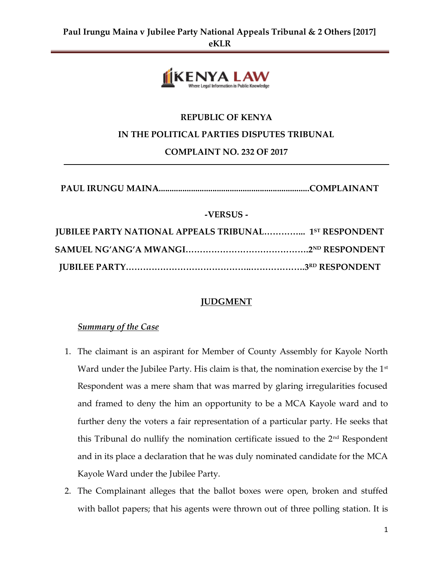

# **REPUBLIC OF KENYA**

### **IN THE POLITICAL PARTIES DISPUTES TRIBUNAL**

**COMPLAINT NO. 232 OF 2017**

| -VERSUS -                                                     |  |
|---------------------------------------------------------------|--|
| <b>JUBILEE PARTY NATIONAL APPEALS TRIBUNAL 1ST RESPONDENT</b> |  |
|                                                               |  |
|                                                               |  |

**JUBILEE PARTY……………………………………..……………….3RD RESPONDENT**

# **JUDGMENT**

### *Summary of the Case*

- 1. The claimant is an aspirant for Member of County Assembly for Kayole North Ward under the Jubilee Party. His claim is that, the nomination exercise by the  $1<sup>st</sup>$ Respondent was a mere sham that was marred by glaring irregularities focused and framed to deny the him an opportunity to be a MCA Kayole ward and to further deny the voters a fair representation of a particular party. He seeks that this Tribunal do nullify the nomination certificate issued to the  $2<sup>nd</sup>$  Respondent and in its place a declaration that he was duly nominated candidate for the MCA Kayole Ward under the Jubilee Party.
- 2. The Complainant alleges that the ballot boxes were open, broken and stuffed with ballot papers; that his agents were thrown out of three polling station. It is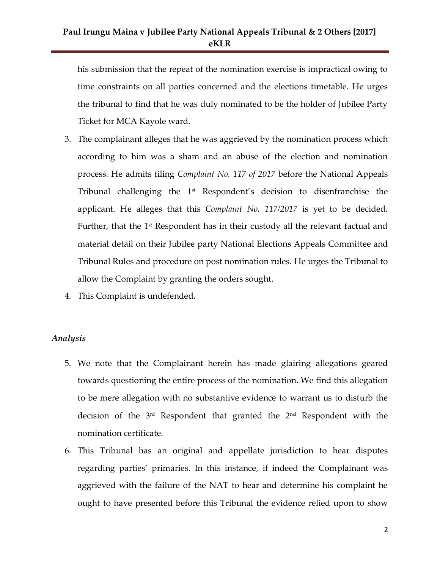### **Paul Irungu Maina v Jubilee Party National Appeals Tribunal & 2 Others [2017] eKLR**

his submission that the repeat of the nomination exercise is impractical owing to time constraints on all parties concerned and the elections timetable. He urges the tribunal to find that he was duly nominated to be the holder of Jubilee Party Ticket for MCA Kayole ward.

- 3. The complainant alleges that he was aggrieved by the nomination process which according to him was a sham and an abuse of the election and nomination process. He admits filing *Complaint No. 117 of 2017* before the National Appeals Tribunal challenging the  $1<sup>st</sup>$  Respondent's decision to disenfranchise the applicant. He alleges that this *Complaint No. 117/2017* is yet to be decided. Further, that the 1<sup>st</sup> Respondent has in their custody all the relevant factual and material detail on their Jubilee party National Elections Appeals Committee and Tribunal Rules and procedure on post nomination rules. He urges the Tribunal to allow the Complaint by granting the orders sought.
- 4. This Complaint is undefended.

#### *Analysis*

- 5. We note that the Complainant herein has made glairing allegations geared towards questioning the entire process of the nomination. We find this allegation to be mere allegation with no substantive evidence to warrant us to disturb the decision of the  $3<sup>rd</sup>$  Respondent that granted the  $2<sup>nd</sup>$  Respondent with the nomination certificate.
- 6. This Tribunal has an original and appellate jurisdiction to hear disputes regarding parties' primaries. In this instance, if indeed the Complainant was aggrieved with the failure of the NAT to hear and determine his complaint he ought to have presented before this Tribunal the evidence relied upon to show